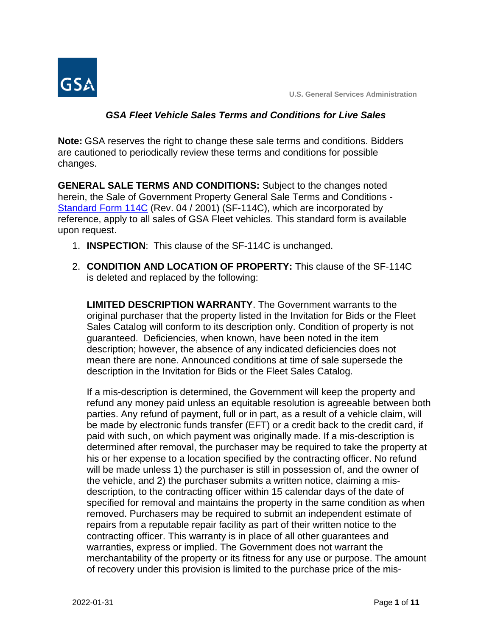

#### *GSA Fleet Vehicle Sales Terms and Conditions for Live Sales*

**Note:** GSA reserves the right to change these sale terms and conditions. Bidders are cautioned to periodically review these terms and conditions for possible changes.

**GENERAL SALE TERMS AND CONDITIONS:** Subject to the changes noted herein, the Sale of Government Property General Sale Terms and Conditions - [Standard Form 114C](http://www.gsa.gov/portal/forms/download/115626) (Rev. 04 / 2001) (SF-114C), which are incorporated by reference, apply to all sales of GSA Fleet vehicles. This standard form is available upon request.

- 1. **INSPECTION**: This clause of the SF-114C is unchanged.
- 2. **CONDITION AND LOCATION OF PROPERTY:** This clause of the SF-114C is deleted and replaced by the following:

**LIMITED DESCRIPTION WARRANTY**. The Government warrants to the original purchaser that the property listed in the Invitation for Bids or the Fleet Sales Catalog will conform to its description only. Condition of property is not guaranteed. Deficiencies, when known, have been noted in the item description; however, the absence of any indicated deficiencies does not mean there are none. Announced conditions at time of sale supersede the description in the Invitation for Bids or the Fleet Sales Catalog.

If a mis-description is determined, the Government will keep the property and refund any money paid unless an equitable resolution is agreeable between both parties. Any refund of payment, full or in part, as a result of a vehicle claim, will be made by electronic funds transfer (EFT) or a credit back to the credit card, if paid with such, on which payment was originally made. If a mis-description is determined after removal, the purchaser may be required to take the property at his or her expense to a location specified by the contracting officer. No refund will be made unless 1) the purchaser is still in possession of, and the owner of the vehicle, and 2) the purchaser submits a written notice, claiming a misdescription, to the contracting officer within 15 calendar days of the date of specified for removal and maintains the property in the same condition as when removed. Purchasers may be required to submit an independent estimate of repairs from a reputable repair facility as part of their written notice to the contracting officer. This warranty is in place of all other guarantees and warranties, express or implied. The Government does not warrant the merchantability of the property or its fitness for any use or purpose. The amount of recovery under this provision is limited to the purchase price of the mis-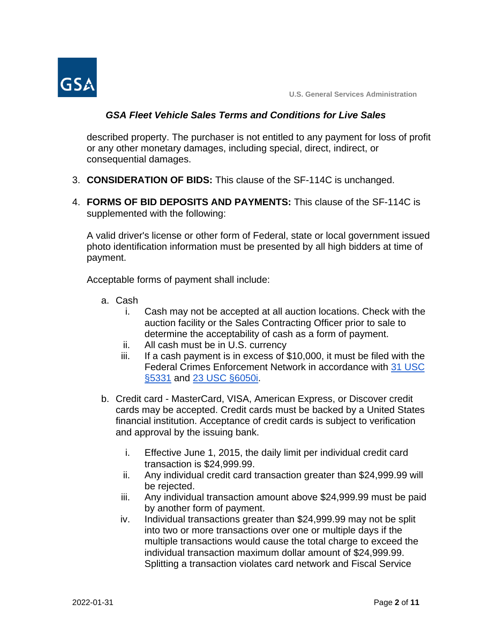

## *GSA Fleet Vehicle Sales Terms and Conditions for Live Sales*

described property. The purchaser is not entitled to any payment for loss of profit or any other monetary damages, including special, direct, indirect, or consequential damages.

- 3. **CONSIDERATION OF BIDS:** This clause of the SF-114C is unchanged.
- 4. **FORMS OF BID DEPOSITS AND PAYMENTS:** This clause of the SF-114C is supplemented with the following:

A valid driver's license or other form of Federal, state or local government issued photo identification information must be presented by all high bidders at time of payment.

Acceptable forms of payment shall include:

- a. Cash
	- i. Cash may not be accepted at all auction locations. Check with the auction facility or the Sales Contracting Officer prior to sale to determine the acceptability of cash as a form of payment.
	- ii. All cash must be in U.S. currency
	- iii. If a cash payment is in excess of \$10,000, it must be filed with the Federal Crimes Enforcement Network in accordance with [31 USC](https://www.gpo.gov/fdsys/pkg/USCODE-2011-title31/pdf/USCODE-2011-title31-subtitleIV-chap53-subchapII-sec5331.pdf)  [§5331](https://www.gpo.gov/fdsys/pkg/USCODE-2011-title31/pdf/USCODE-2011-title31-subtitleIV-chap53-subchapII-sec5331.pdf) and [23 USC §6050i.](https://www.gpo.gov/fdsys/pkg/USCODE-2011-title26/pdf/USCODE-2011-title26-subtitleF-chap61-subchapA-partIII-subpartB-sec6050I.pdf)
- b. Credit card MasterCard, VISA, American Express, or Discover credit cards may be accepted. Credit cards must be backed by a United States financial institution. Acceptance of credit cards is subject to verification and approval by the issuing bank.
	- i. Effective June 1, 2015, the daily limit per individual credit card transaction is \$24,999.99.
	- ii. Any individual credit card transaction greater than \$24,999.99 will be rejected.
	- iii. Any individual transaction amount above \$24,999.99 must be paid by another form of payment.
	- iv. Individual transactions greater than \$24,999.99 may not be split into two or more transactions over one or multiple days if the multiple transactions would cause the total charge to exceed the individual transaction maximum dollar amount of \$24,999.99. Splitting a transaction violates card network and Fiscal Service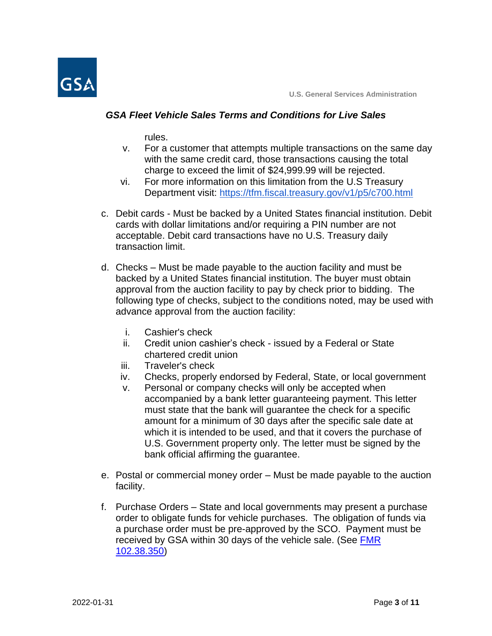

#### *GSA Fleet Vehicle Sales Terms and Conditions for Live Sales*

rules.

- v. For a customer that attempts multiple transactions on the same day with the same credit card, those transactions causing the total charge to exceed the limit of \$24,999.99 will be rejected.
- vi. For more information on this limitation from the U.S Treasury Department visit:<https://tfm.fiscal.treasury.gov/v1/p5/c700.html>
- c. Debit cards Must be backed by a United States financial institution. Debit cards with dollar limitations and/or requiring a PIN number are not acceptable. Debit card transactions have no U.S. Treasury daily transaction limit.
- d. Checks Must be made payable to the auction facility and must be backed by a United States financial institution. The buyer must obtain approval from the auction facility to pay by check prior to bidding. The following type of checks, subject to the conditions noted, may be used with advance approval from the auction facility:
	- i. Cashier's check
	- ii. Credit union cashier's check issued by a Federal or State chartered credit union
	- iii. Traveler's check
	- iv. Checks, properly endorsed by Federal, State, or local government
	- v. Personal or company checks will only be accepted when accompanied by a bank letter guaranteeing payment. This letter must state that the bank will guarantee the check for a specific amount for a minimum of 30 days after the specific sale date at which it is intended to be used, and that it covers the purchase of U.S. Government property only. The letter must be signed by the bank official affirming the guarantee.
- e. Postal or commercial money order Must be made payable to the auction facility.
- f. Purchase Orders State and local governments may present a purchase order to obligate funds for vehicle purchases. The obligation of funds via a purchase order must be pre-approved by the SCO. Payment must be received by GSA within 30 days of the vehicle sale. (See FMR [102.38.350\)](https://www.gsa.gov/policy-regulations/regulations/federal-management-regulation-fmr/i458448#i458836)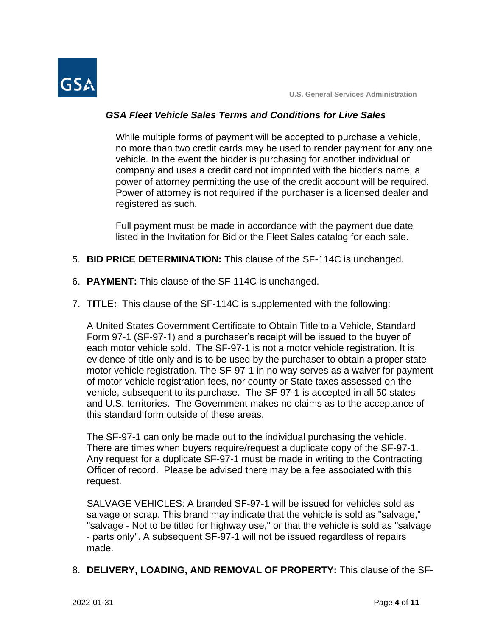

# *GSA Fleet Vehicle Sales Terms and Conditions for Live Sales*

While multiple forms of payment will be accepted to purchase a vehicle, no more than two credit cards may be used to render payment for any one vehicle. In the event the bidder is purchasing for another individual or company and uses a credit card not imprinted with the bidder's name, a power of attorney permitting the use of the credit account will be required. Power of attorney is not required if the purchaser is a licensed dealer and registered as such.

Full payment must be made in accordance with the payment due date listed in the Invitation for Bid or the Fleet Sales catalog for each sale.

- 5. **BID PRICE DETERMINATION:** This clause of the SF-114C is unchanged.
- 6. **PAYMENT:** This clause of the SF-114C is unchanged.
- 7. **TITLE:** This clause of the SF-114C is supplemented with the following:

A United States Government Certificate to Obtain Title to a Vehicle, Standard Form 97-1 (SF-97-1) and a purchaser's receipt will be issued to the buyer of each motor vehicle sold. The SF-97-1 is not a motor vehicle registration. It is evidence of title only and is to be used by the purchaser to obtain a proper state motor vehicle registration. The SF-97-1 in no way serves as a waiver for payment of motor vehicle registration fees, nor county or State taxes assessed on the vehicle, subsequent to its purchase. The SF-97-1 is accepted in all 50 states and U.S. territories. The Government makes no claims as to the acceptance of this standard form outside of these areas.

The SF-97-1 can only be made out to the individual purchasing the vehicle. There are times when buyers require/request a duplicate copy of the SF-97-1. Any request for a duplicate SF-97-1 must be made in writing to the Contracting Officer of record. Please be advised there may be a fee associated with this request.

SALVAGE VEHICLES: A branded SF-97-1 will be issued for vehicles sold as salvage or scrap. This brand may indicate that the vehicle is sold as "salvage," "salvage - Not to be titled for highway use," or that the vehicle is sold as "salvage - parts only". A subsequent SF-97-1 will not be issued regardless of repairs made.

8. **DELIVERY, LOADING, AND REMOVAL OF PROPERTY:** This clause of the SF-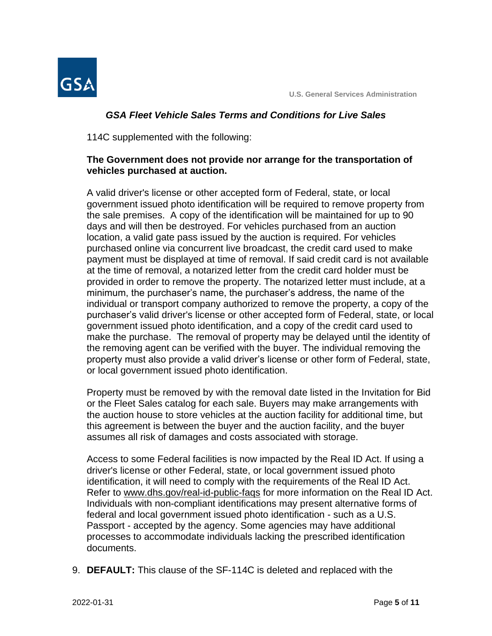



# *GSA Fleet Vehicle Sales Terms and Conditions for Live Sales*

114C supplemented with the following:

# **The Government does not provide nor arrange for the transportation of vehicles purchased at auction.**

A valid driver's license or other accepted form of Federal, state, or local government issued photo identification will be required to remove property from the sale premises. A copy of the identification will be maintained for up to 90 days and will then be destroyed. For vehicles purchased from an auction location, a valid gate pass issued by the auction is required. For vehicles purchased online via concurrent live broadcast, the credit card used to make payment must be displayed at time of removal. If said credit card is not available at the time of removal, a notarized letter from the credit card holder must be provided in order to remove the property. The notarized letter must include, at a minimum, the purchaser's name, the purchaser's address, the name of the individual or transport company authorized to remove the property, a copy of the purchaser's valid driver's license or other accepted form of Federal, state, or local government issued photo identification, and a copy of the credit card used to make the purchase. The removal of property may be delayed until the identity of the removing agent can be verified with the buyer. The individual removing the property must also provide a valid driver's license or other form of Federal, state, or local government issued photo identification.

Property must be removed by with the removal date listed in the Invitation for Bid or the Fleet Sales catalog for each sale. Buyers may make arrangements with the auction house to store vehicles at the auction facility for additional time, but this agreement is between the buyer and the auction facility, and the buyer assumes all risk of damages and costs associated with storage.

Access to some Federal facilities is now impacted by the Real ID Act. If using a driver's license or other Federal, state, or local government issued photo identification, it will need to comply with the requirements of the Real ID Act. Refer to www.dhs.gov/real-id-public-faqs for more information on the Real ID Act. Individuals with non-compliant identifications may present alternative forms of federal and local government issued photo identification - such as a U.S. Passport - accepted by the agency. Some agencies may have additional processes to accommodate individuals lacking the prescribed identification documents.

9. **DEFAULT:** This clause of the SF-114C is deleted and replaced with the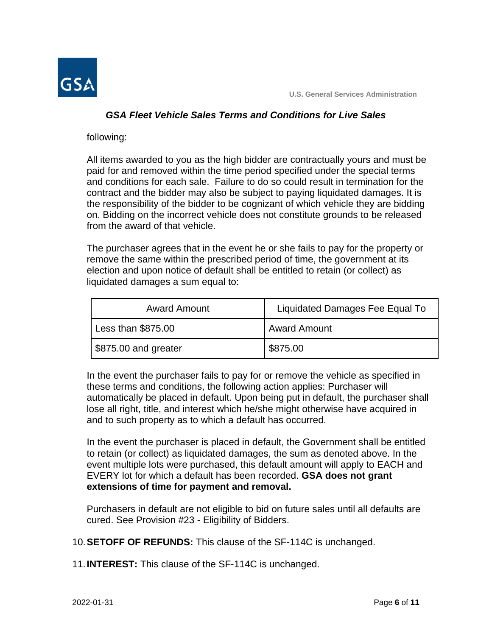

#### *GSA Fleet Vehicle Sales Terms and Conditions for Live Sales*

following:

All items awarded to you as the high bidder are contractually yours and must be paid for and removed within the time period specified under the special terms and conditions for each sale. Failure to do so could result in termination for the contract and the bidder may also be subject to paying liquidated damages. It is the responsibility of the bidder to be cognizant of which vehicle they are bidding on. Bidding on the incorrect vehicle does not constitute grounds to be released from the award of that vehicle.

The purchaser agrees that in the event he or she fails to pay for the property or remove the same within the prescribed period of time, the government at its election and upon notice of default shall be entitled to retain (or collect) as liquidated damages a sum equal to:

| <b>Award Amount</b>  | Liquidated Damages Fee Equal To |
|----------------------|---------------------------------|
| Less than \$875.00   | <b>Award Amount</b>             |
| \$875.00 and greater | \$875.00                        |

In the event the purchaser fails to pay for or remove the vehicle as specified in these terms and conditions, the following action applies: Purchaser will automatically be placed in default. Upon being put in default, the purchaser shall lose all right, title, and interest which he/she might otherwise have acquired in and to such property as to which a default has occurred.

In the event the purchaser is placed in default, the Government shall be entitled to retain (or collect) as liquidated damages, the sum as denoted above. In the event multiple lots were purchased, this default amount will apply to EACH and EVERY lot for which a default has been recorded. **GSA does not grant extensions of time for payment and removal.**

Purchasers in default are not eligible to bid on future sales until all defaults are cured. See Provision #23 - Eligibility of Bidders.

10.**SETOFF OF REFUNDS:** This clause of the SF-114C is unchanged.

11.**INTEREST:** This clause of the SF-114C is unchanged.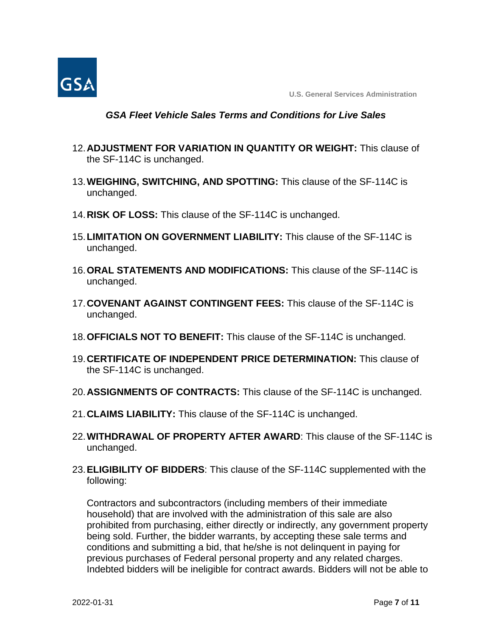

#### *GSA Fleet Vehicle Sales Terms and Conditions for Live Sales*

- 12.**ADJUSTMENT FOR VARIATION IN QUANTITY OR WEIGHT:** This clause of the SF-114C is unchanged.
- 13.**WEIGHING, SWITCHING, AND SPOTTING:** This clause of the SF-114C is unchanged.
- 14.**RISK OF LOSS:** This clause of the SF-114C is unchanged.
- 15.**LIMITATION ON GOVERNMENT LIABILITY:** This clause of the SF-114C is unchanged.
- 16.**ORAL STATEMENTS AND MODIFICATIONS:** This clause of the SF-114C is unchanged.
- 17.**COVENANT AGAINST CONTINGENT FEES:** This clause of the SF-114C is unchanged.
- 18.**OFFICIALS NOT TO BENEFIT:** This clause of the SF-114C is unchanged.
- 19.**CERTIFICATE OF INDEPENDENT PRICE DETERMINATION:** This clause of the SF-114C is unchanged.
- 20.**ASSIGNMENTS OF CONTRACTS:** This clause of the SF-114C is unchanged.
- 21.**CLAIMS LIABILITY:** This clause of the SF-114C is unchanged.
- 22.**WITHDRAWAL OF PROPERTY AFTER AWARD**: This clause of the SF-114C is unchanged.
- 23.**ELIGIBILITY OF BIDDERS**: This clause of the SF-114C supplemented with the following:

Contractors and subcontractors (including members of their immediate household) that are involved with the administration of this sale are also prohibited from purchasing, either directly or indirectly, any government property being sold. Further, the bidder warrants, by accepting these sale terms and conditions and submitting a bid, that he/she is not delinquent in paying for previous purchases of Federal personal property and any related charges. Indebted bidders will be ineligible for contract awards. Bidders will not be able to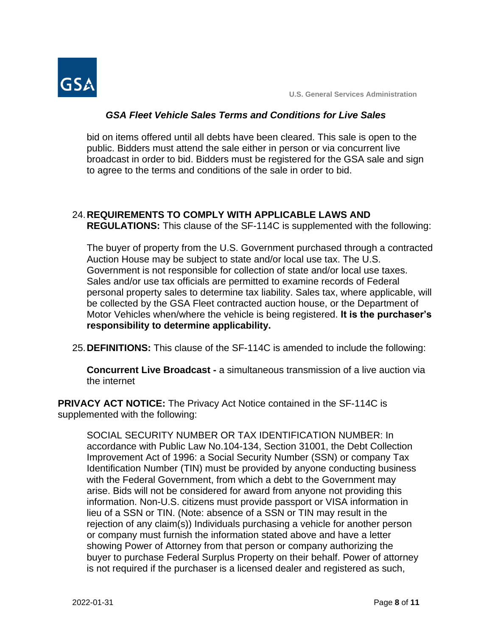

## *GSA Fleet Vehicle Sales Terms and Conditions for Live Sales*

bid on items offered until all debts have been cleared. This sale is open to the public. Bidders must attend the sale either in person or via concurrent live broadcast in order to bid. Bidders must be registered for the GSA sale and sign to agree to the terms and conditions of the sale in order to bid.

# 24.**REQUIREMENTS TO COMPLY WITH APPLICABLE LAWS AND**

**REGULATIONS:** This clause of the SF-114C is supplemented with the following:

The buyer of property from the U.S. Government purchased through a contracted Auction House may be subject to state and/or local use tax. The U.S. Government is not responsible for collection of state and/or local use taxes. Sales and/or use tax officials are permitted to examine records of Federal personal property sales to determine tax liability. Sales tax, where applicable, will be collected by the GSA Fleet contracted auction house, or the Department of Motor Vehicles when/where the vehicle is being registered. **It is the purchaser's responsibility to determine applicability.**

25.**DEFINITIONS:** This clause of the SF-114C is amended to include the following:

**Concurrent Live Broadcast -** a simultaneous transmission of a live auction via the internet

**PRIVACY ACT NOTICE:** The Privacy Act Notice contained in the SF-114C is supplemented with the following:

SOCIAL SECURITY NUMBER OR TAX IDENTIFICATION NUMBER: In accordance with Public Law No.104-134, Section 31001, the Debt Collection Improvement Act of 1996: a Social Security Number (SSN) or company Tax Identification Number (TIN) must be provided by anyone conducting business with the Federal Government, from which a debt to the Government may arise. Bids will not be considered for award from anyone not providing this information. Non-U.S. citizens must provide passport or VISA information in lieu of a SSN or TIN. (Note: absence of a SSN or TIN may result in the rejection of any claim(s)) Individuals purchasing a vehicle for another person or company must furnish the information stated above and have a letter showing Power of Attorney from that person or company authorizing the buyer to purchase Federal Surplus Property on their behalf. Power of attorney is not required if the purchaser is a licensed dealer and registered as such,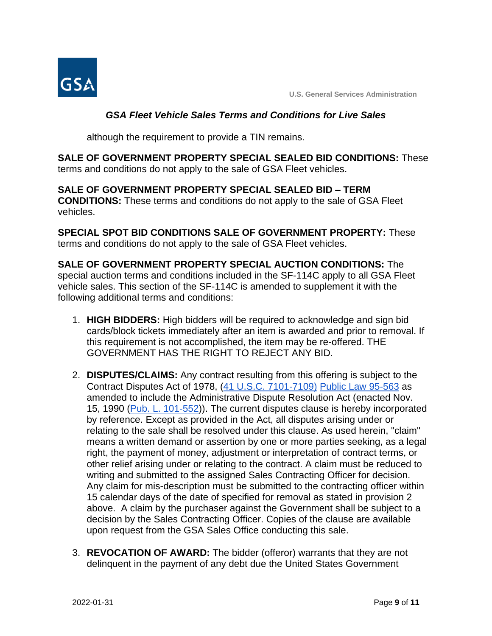

# *GSA Fleet Vehicle Sales Terms and Conditions for Live Sales*

although the requirement to provide a TIN remains.

**SALE OF GOVERNMENT PROPERTY SPECIAL SEALED BID CONDITIONS:** These terms and conditions do not apply to the sale of GSA Fleet vehicles.

**SALE OF GOVERNMENT PROPERTY SPECIAL SEALED BID – TERM CONDITIONS:** These terms and conditions do not apply to the sale of GSA Fleet vehicles.

**SPECIAL SPOT BID CONDITIONS SALE OF GOVERNMENT PROPERTY:** These terms and conditions do not apply to the sale of GSA Fleet vehicles.

**SALE OF GOVERNMENT PROPERTY SPECIAL AUCTION CONDITIONS:** The special auction terms and conditions included in the SF-114C apply to all GSA Fleet vehicle sales. This section of the SF-114C is amended to supplement it with the following additional terms and conditions:

- 1. **HIGH BIDDERS:** High bidders will be required to acknowledge and sign bid cards/block tickets immediately after an item is awarded and prior to removal. If this requirement is not accomplished, the item may be re-offered. THE GOVERNMENT HAS THE RIGHT TO REJECT ANY BID.
- 2. **DISPUTES/CLAIMS:** Any contract resulting from this offering is subject to the Contract Disputes Act of 1978, [\(41 U.S.C. 7101-7109\)](https://www.gpo.gov/fdsys/pkg/USCODE-2011-title41/pdf/USCODE-2011-title41-subtitleIII.pdf) [Public Law 95-563](http://uscode.house.gov/statutes/pl/95/563.pdf) as amended to include the Administrative Dispute Resolution Act (enacted Nov. 15, 1990 [\(Pub. L. 101-552\)](https://www.gpo.gov/fdsys/pkg/STATUTE-104/pdf/STATUTE-104-Pg2736.pdf)). The current disputes clause is hereby incorporated by reference. Except as provided in the Act, all disputes arising under or relating to the sale shall be resolved under this clause. As used herein, "claim" means a written demand or assertion by one or more parties seeking, as a legal right, the payment of money, adjustment or interpretation of contract terms, or other relief arising under or relating to the contract. A claim must be reduced to writing and submitted to the assigned Sales Contracting Officer for decision. Any claim for mis-description must be submitted to the contracting officer within 15 calendar days of the date of specified for removal as stated in provision 2 above. A claim by the purchaser against the Government shall be subject to a decision by the Sales Contracting Officer. Copies of the clause are available upon request from the GSA Sales Office conducting this sale.
- 3. **REVOCATION OF AWARD:** The bidder (offeror) warrants that they are not delinquent in the payment of any debt due the United States Government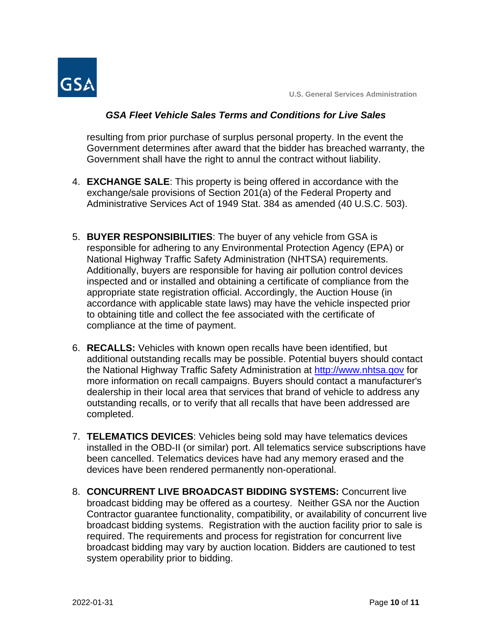

## *GSA Fleet Vehicle Sales Terms and Conditions for Live Sales*

resulting from prior purchase of surplus personal property. In the event the Government determines after award that the bidder has breached warranty, the Government shall have the right to annul the contract without liability.

- 4. **EXCHANGE SALE**: This property is being offered in accordance with the exchange/sale provisions of Section 201(a) of the Federal Property and Administrative Services Act of 1949 Stat. 384 as amended (40 U.S.C. 503).
- 5. **BUYER RESPONSIBILITIES**: The buyer of any vehicle from GSA is responsible for adhering to any Environmental Protection Agency (EPA) or National Highway Traffic Safety Administration (NHTSA) requirements. Additionally, buyers are responsible for having air pollution control devices inspected and or installed and obtaining a certificate of compliance from the appropriate state registration official. Accordingly, the Auction House (in accordance with applicable state laws) may have the vehicle inspected prior to obtaining title and collect the fee associated with the certificate of compliance at the time of payment.
- 6. **RECALLS:** Vehicles with known open recalls have been identified, but additional outstanding recalls may be possible. Potential buyers should contact the National Highway Traffic Safety Administration at [http://www.nhtsa.gov](http://www.nhtsa.gov/) for more information on recall campaigns. Buyers should contact a manufacturer's dealership in their local area that services that brand of vehicle to address any outstanding recalls, or to verify that all recalls that have been addressed are completed.
- 7. **TELEMATICS DEVICES**: Vehicles being sold may have telematics devices installed in the OBD-II (or similar) port. All telematics service subscriptions have been cancelled. Telematics devices have had any memory erased and the devices have been rendered permanently non-operational.
- 8. **CONCURRENT LIVE BROADCAST BIDDING SYSTEMS:** Concurrent live broadcast bidding may be offered as a courtesy. Neither GSA nor the Auction Contractor guarantee functionality, compatibility, or availability of concurrent live broadcast bidding systems. Registration with the auction facility prior to sale is required. The requirements and process for registration for concurrent live broadcast bidding may vary by auction location. Bidders are cautioned to test system operability prior to bidding.